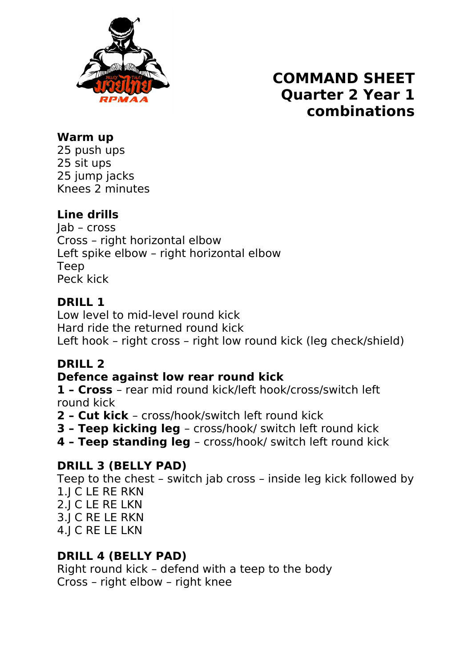

# **COMMAND SHEET Quarter 2 Year 1 combinations**

#### **Warm up**

25 push ups 25 sit ups 25 jump jacks Knees 2 minutes

## **Line drills**

Jab – cross Cross – right horizontal elbow Left spike elbow – right horizontal elbow Teep Peck kick

### **DRILL 1**

Low level to mid-level round kick Hard ride the returned round kick Left hook – right cross – right low round kick (leg check/shield)

## **DRILL 2**

#### **Defence against low rear round kick**

**1 – Cross** – rear mid round kick/left hook/cross/switch left round kick

- **2 Cut kick**  cross/hook/switch left round kick
- **3 Teep kicking leg**  cross/hook/ switch left round kick
- **4 Teep standing leg**  cross/hook/ switch left round kick

## **DRILL 3 (BELLY PAD)**

Teep to the chest – switch jab cross – inside leg kick followed by 1.J C LE RE RKN 2.J C LE RE LKN 3.J C RE LE RKN 4.J C RE LE LKN

#### **DRILL 4 (BELLY PAD)**

Right round kick – defend with a teep to the body Cross – right elbow – right knee